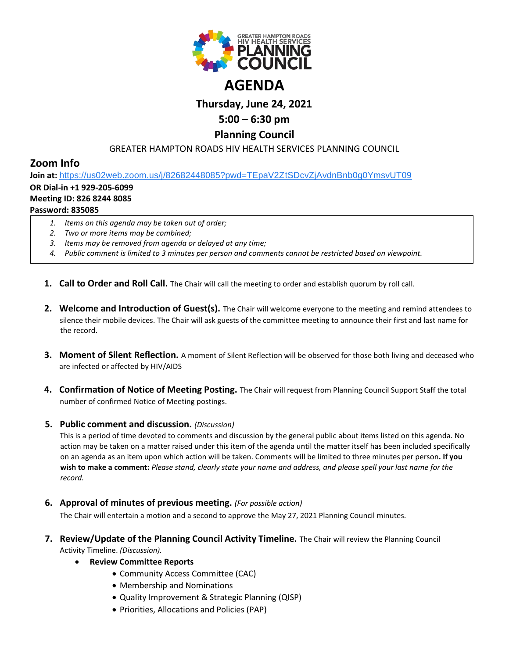

# **Thursday, June 24, 2021**

# **5:00 – 6:30 pm**

## **Planning Council**

### GREATER HAMPTON ROADS HIV HEALTH SERVICES PLANNING COUNCIL

## **Zoom Info**

**Join at:** [https://us02web.zoom.us/j/82682448085?pwd=TEpaV2ZtSDcvZjAvdnBnb0g0YmsvUT09](https://www.google.com/url?q=https://us02web.zoom.us/j/82682448085?pwd%3DTEpaV2ZtSDcvZjAvdnBnb0g0YmsvUT09&sa=D&source=calendar&ust=1619875881860000&usg=AOvVaw0zwYUyYOogd54DiewQ0YcP)

### **OR Dial-in +1 929-205-6099**

#### **Meeting ID: 826 8244 8085**

### **Password: 835085**

- *1. Items on this agenda may be taken out of order;*
- *2. Two or more items may be combined;*
- *3. Items may be removed from agenda or delayed at any time;*
- *4. Public comment is limited to 3 minutes per person and comments cannot be restricted based on viewpoint.*
- **1. Call to Order and Roll Call.** The Chair will call the meeting to order and establish quorum by roll call.
- **2. Welcome and Introduction of Guest(s).** The Chair will welcome everyone to the meeting and remind attendees to silence their mobile devices. The Chair will ask guests of the committee meeting to announce their first and last name for the record.
- **3. Moment of Silent Reflection.** A moment of Silent Reflection will be observed for those both living and deceased who are infected or affected by HIV/AIDS
- **4. Confirmation of Notice of Meeting Posting.** The Chair will request from Planning Council Support Staff the total number of confirmed Notice of Meeting postings.

### **5. Public comment and discussion.** *(Discussion)*

This is a period of time devoted to comments and discussion by the general public about items listed on this agenda. No action may be taken on a matter raised under this item of the agenda until the matter itself has been included specifically on an agenda as an item upon which action will be taken. Comments will be limited to three minutes per person**. If you wish to make a comment:** *Please stand, clearly state your name and address, and please spell your last name for the record.*

**6. Approval of minutes of previous meeting.** *(For possible action)*

The Chair will entertain a motion and a second to approve the May 27, 2021 Planning Council minutes.

- **7. Review/Update of the Planning Council Activity Timeline.** The Chair will review the Planning Council Activity Timeline. *(Discussion).*
	- **Review Committee Reports**
		- Community Access Committee (CAC)
		- Membership and Nominations
		- Quality Improvement & Strategic Planning (QISP)
		- Priorities, Allocations and Policies (PAP)